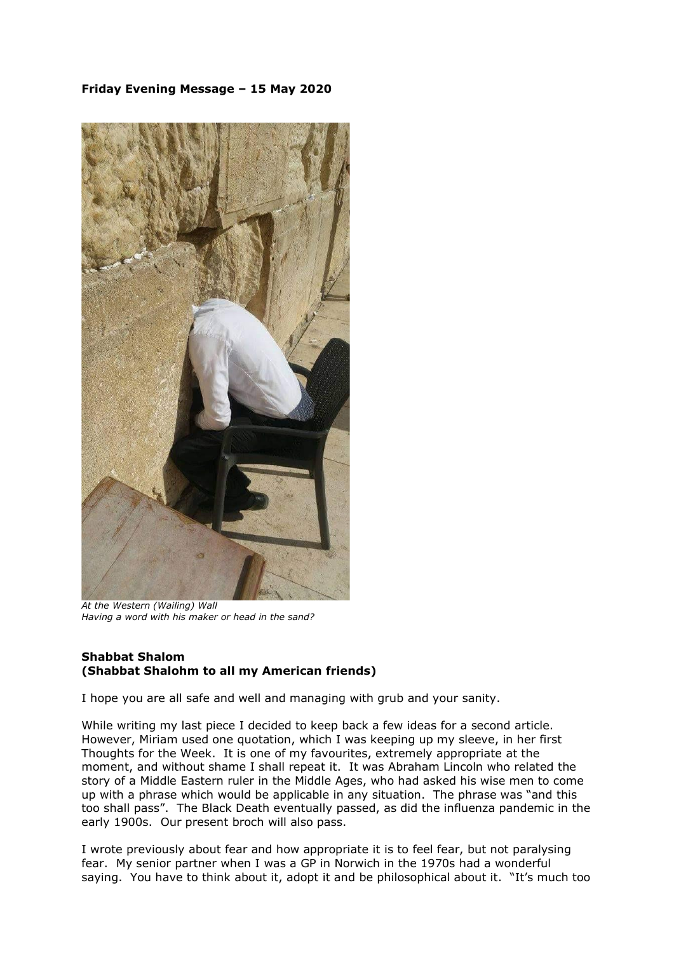## **Friday Evening Message – 15 May 2020**



*At the Western (Wailing) Wall Having a word with his maker or head in the sand?*

## **Shabbat Shalom (Shabbat Shalohm to all my American friends)**

I hope you are all safe and well and managing with grub and your sanity.

While writing my last piece I decided to keep back a few ideas for a second article. However, Miriam used one quotation, which I was keeping up my sleeve, in her first Thoughts for the Week. It is one of my favourites, extremely appropriate at the moment, and without shame I shall repeat it. It was Abraham Lincoln who related the story of a Middle Eastern ruler in the Middle Ages, who had asked his wise men to come up with a phrase which would be applicable in any situation. The phrase was "and this too shall pass". The Black Death eventually passed, as did the influenza pandemic in the early 1900s. Our present broch will also pass.

I wrote previously about fear and how appropriate it is to feel fear, but not paralysing fear. My senior partner when I was a GP in Norwich in the 1970s had a wonderful saying. You have to think about it, adopt it and be philosophical about it. "It's much too